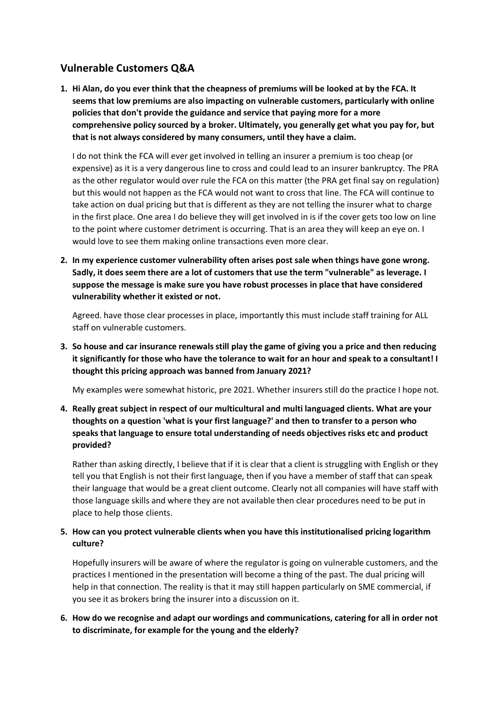# **Vulnerable Customers Q&A**

**1. Hi Alan, do you ever think that the cheapness of premiums will be looked at by the FCA. It seems that low premiums are also impacting on vulnerable customers, particularly with online policies that don't provide the guidance and service that paying more for a more comprehensive policy sourced by a broker. Ultimately, you generally get what you pay for, but that is not always considered by many consumers, until they have a claim.**

I do not think the FCA will ever get involved in telling an insurer a premium is too cheap (or expensive) as it is a very dangerous line to cross and could lead to an insurer bankruptcy. The PRA as the other regulator would over rule the FCA on this matter (the PRA get final say on regulation) but this would not happen as the FCA would not want to cross that line. The FCA will continue to take action on dual pricing but that is different as they are not telling the insurer what to charge in the first place. One area I do believe they will get involved in is if the cover gets too low on line to the point where customer detriment is occurring. That is an area they will keep an eye on. I would love to see them making online transactions even more clear.

**2. In my experience customer vulnerability often arises post sale when things have gone wrong. Sadly, it does seem there are a lot of customers that use the term "vulnerable" as leverage. I suppose the message is make sure you have robust processes in place that have considered vulnerability whether it existed or not.**

Agreed. have those clear processes in place, importantly this must include staff training for ALL staff on vulnerable customers.

**3. So house and car insurance renewals still play the game of giving you a price and then reducing it significantly for those who have the tolerance to wait for an hour and speak to a consultant! I thought this pricing approach was banned from January 2021?**

My examples were somewhat historic, pre 2021. Whether insurers still do the practice I hope not.

**4. Really great subject in respect of our multicultural and multi languaged clients. What are your thoughts on a question 'what is your first language?' and then to transfer to a person who speaks that language to ensure total understanding of needs objectives risks etc and product provided?**

Rather than asking directly, I believe that if it is clear that a client is struggling with English or they tell you that English is not their first language, then if you have a member of staff that can speak their language that would be a great client outcome. Clearly not all companies will have staff with those language skills and where they are not available then clear procedures need to be put in place to help those clients.

### **5. How can you protect vulnerable clients when you have this institutionalised pricing logarithm culture?**

Hopefully insurers will be aware of where the regulator is going on vulnerable customers, and the practices I mentioned in the presentation will become a thing of the past. The dual pricing will help in that connection. The reality is that it may still happen particularly on SME commercial, if you see it as brokers bring the insurer into a discussion on it.

## **6. How do we recognise and adapt our wordings and communications, catering for all in order not to discriminate, for example for the young and the elderly?**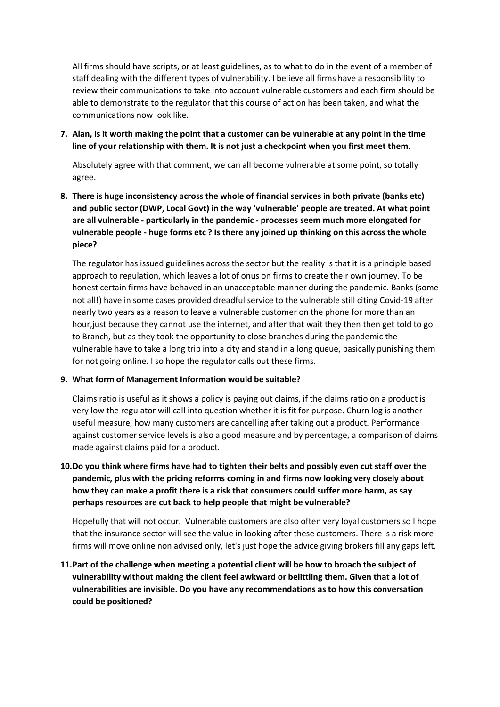All firms should have scripts, or at least guidelines, as to what to do in the event of a member of staff dealing with the different types of vulnerability. I believe all firms have a responsibility to review their communications to take into account vulnerable customers and each firm should be able to demonstrate to the regulator that this course of action has been taken, and what the communications now look like.

**7. Alan, is it worth making the point that a customer can be vulnerable at any point in the time line of your relationship with them. It is not just a checkpoint when you first meet them.**

Absolutely agree with that comment, we can all become vulnerable at some point, so totally agree.

**8. There is huge inconsistency across the whole of financial services in both private (banks etc) and public sector (DWP, Local Govt) in the way 'vulnerable' people are treated. At what point are all vulnerable - particularly in the pandemic - processes seem much more elongated for vulnerable people - huge forms etc ? Is there any joined up thinking on this across the whole piece?**

The regulator has issued guidelines across the sector but the reality is that it is a principle based approach to regulation, which leaves a lot of onus on firms to create their own journey. To be honest certain firms have behaved in an unacceptable manner during the pandemic. Banks (some not all!) have in some cases provided dreadful service to the vulnerable still citing Covid-19 after nearly two years as a reason to leave a vulnerable customer on the phone for more than an hour,just because they cannot use the internet, and after that wait they then then get told to go to Branch, but as they took the opportunity to close branches during the pandemic the vulnerable have to take a long trip into a city and stand in a long queue, basically punishing them for not going online. I so hope the regulator calls out these firms.

#### **9. What form of Management Information would be suitable?**

Claims ratio is useful as it shows a policy is paying out claims, if the claims ratio on a product is very low the regulator will call into question whether it is fit for purpose. Churn log is another useful measure, how many customers are cancelling after taking out a product. Performance against customer service levels is also a good measure and by percentage, a comparison of claims made against claims paid for a product.

**10.Do you think where firms have had to tighten their belts and possibly even cut staff over the pandemic, plus with the pricing reforms coming in and firms now looking very closely about how they can make a profit there is a risk that consumers could suffer more harm, as say perhaps resources are cut back to help people that might be vulnerable?**

Hopefully that will not occur. Vulnerable customers are also often very loyal customers so I hope that the insurance sector will see the value in looking after these customers. There is a risk more firms will move online non advised only, let's just hope the advice giving brokers fill any gaps left.

**11.Part of the challenge when meeting a potential client will be how to broach the subject of vulnerability without making the client feel awkward or belittling them. Given that a lot of vulnerabilities are invisible. Do you have any recommendations as to how this conversation could be positioned?**